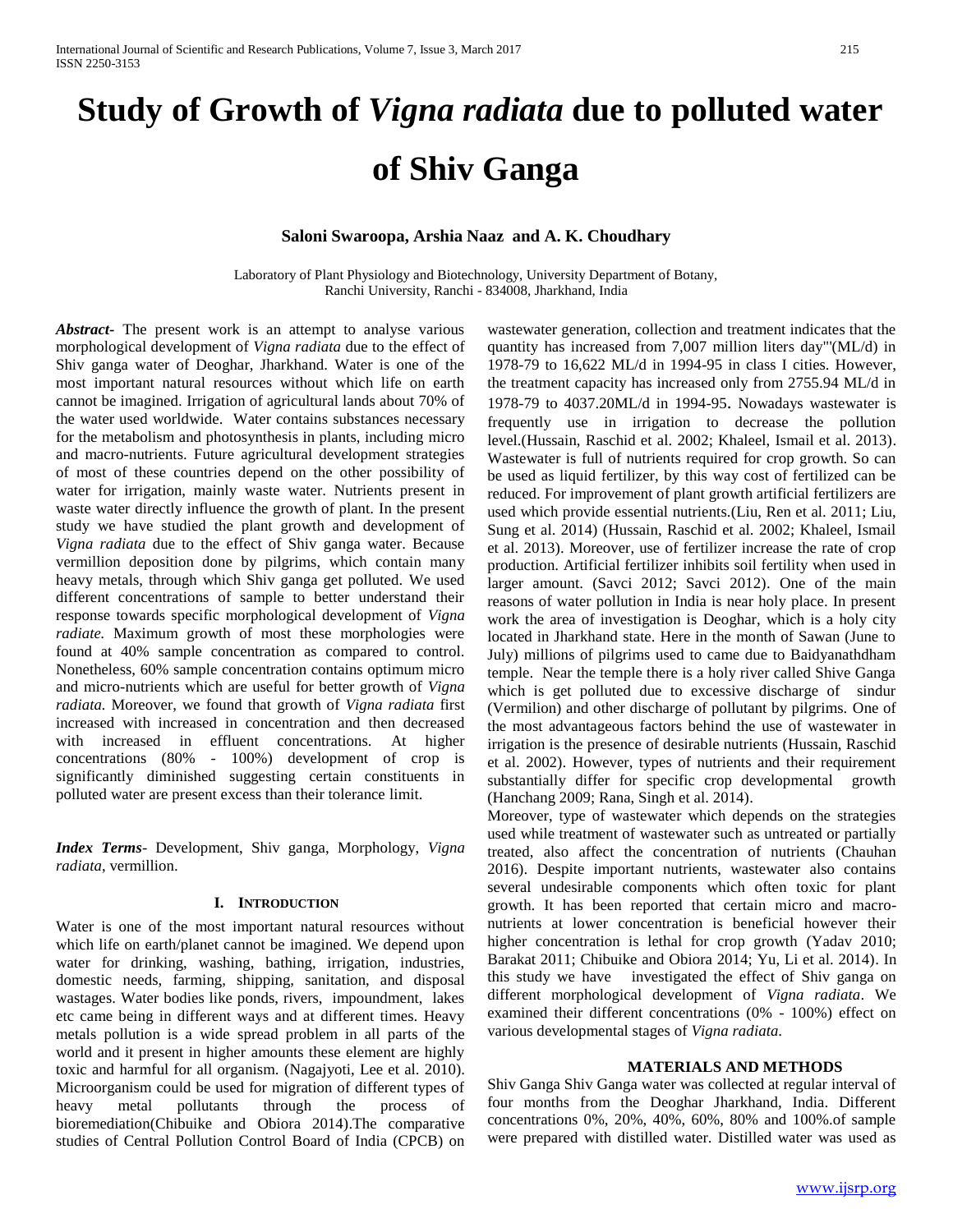# **Study of Growth of** *Vigna radiata* **due to polluted water of Shiv Ganga**

# **Saloni Swaroopa, Arshia Naaz and A. K. Choudhary**

Laboratory of Plant Physiology and Biotechnology, University Department of Botany, Ranchi University, Ranchi - 834008, Jharkhand, India

*Abstract***-** The present work is an attempt to analyse various morphological development of *Vigna radiata* due to the effect of Shiv ganga water of Deoghar, Jharkhand. Water is one of the most important natural resources without which life on earth cannot be imagined. Irrigation of agricultural lands about 70% of the water used worldwide. Water contains substances necessary for the metabolism and photosynthesis in plants, including micro and macro-nutrients. Future agricultural development strategies of most of these countries depend on the other possibility of water for irrigation, mainly waste water. Nutrients present in waste water directly influence the growth of plant. In the present study we have studied the plant growth and development of *Vigna radiata* due to the effect of Shiv ganga water. Because vermillion deposition done by pilgrims, which contain many heavy metals, through which Shiv ganga get polluted. We used different concentrations of sample to better understand their response towards specific morphological development of *Vigna radiate.* Maximum growth of most these morphologies were found at 40% sample concentration as compared to control. Nonetheless, 60% sample concentration contains optimum micro and micro-nutrients which are useful for better growth of *Vigna radiata.* Moreover, we found that growth of *Vigna radiata* first increased with increased in concentration and then decreased with increased in effluent concentrations. At higher concentrations (80% - 100%) development of crop is significantly diminished suggesting certain constituents in polluted water are present excess than their tolerance limit.

*Index Terms*- Development, Shiv ganga, Morphology, *Vigna radiata*, vermillion.

### **I. INTRODUCTION**

Water is one of the most important natural resources without which life on earth/planet cannot be imagined. We depend upon water for drinking, washing, bathing, irrigation, industries, domestic needs, farming, shipping, sanitation, and disposal wastages. Water bodies like ponds, rivers, impoundment, lakes etc came being in different ways and at different times. Heavy metals pollution is a wide spread problem in all parts of the world and it present in higher amounts these element are highly toxic and harmful for all organism. (Nagajyoti, Lee et al. 2010). Microorganism could be used for migration of different types of heavy metal pollutants through the process of bioremediation(Chibuike and Obiora 2014).The comparative studies of Central Pollution Control Board of India (CPCB) on

wastewater generation, collection and treatment indicates that the quantity has increased from 7,007 million liters day"'(ML/d) in 1978-79 to 16,622 ML/d in 1994-95 in class I cities. However, the treatment capacity has increased only from 2755.94 ML/d in 1978-79 to 4037.20ML/d in 1994-95. Nowadays wastewater is frequently use in irrigation to decrease the pollution level.(Hussain, Raschid et al. 2002; Khaleel, Ismail et al. 2013). Wastewater is full of nutrients required for crop growth. So can be used as liquid fertilizer, by this way cost of fertilized can be reduced. For improvement of plant growth artificial fertilizers are used which provide essential nutrients.(Liu, Ren et al. 2011; Liu, Sung et al. 2014) (Hussain, Raschid et al. 2002; Khaleel, Ismail et al. 2013). Moreover, use of fertilizer increase the rate of crop production. Artificial fertilizer inhibits soil fertility when used in larger amount. (Savci 2012; Savci 2012). One of the main reasons of water pollution in India is near holy place. In present work the area of investigation is Deoghar, which is a holy city located in Jharkhand state. Here in the month of Sawan (June to July) millions of pilgrims used to came due to Baidyanathdham temple. Near the temple there is a holy river called Shive Ganga which is get polluted due to excessive discharge of sindur (Vermilion) and other discharge of pollutant by pilgrims. One of the most advantageous factors behind the use of wastewater in irrigation is the presence of desirable nutrients (Hussain, Raschid et al. 2002). However, types of nutrients and their requirement substantially differ for specific crop developmental growth (Hanchang 2009; Rana, Singh et al. 2014).

Moreover, type of wastewater which depends on the strategies used while treatment of wastewater such as untreated or partially treated, also affect the concentration of nutrients (Chauhan 2016). Despite important nutrients, wastewater also contains several undesirable components which often toxic for plant growth. It has been reported that certain micro and macronutrients at lower concentration is beneficial however their higher concentration is lethal for crop growth (Yadav 2010; Barakat 2011; Chibuike and Obiora 2014; Yu, Li et al. 2014). In this study we have investigated the effect of Shiv ganga on different morphological development of *Vigna radiata*. We examined their different concentrations (0% - 100%) effect on various developmental stages of *Vigna radiata*.

#### **MATERIALS AND METHODS**

Shiv Ganga Shiv Ganga water was collected at regular interval of four months from the Deoghar Jharkhand, India. Different concentrations 0%, 20%, 40%, 60%, 80% and 100%.of sample were prepared with distilled water. Distilled water was used as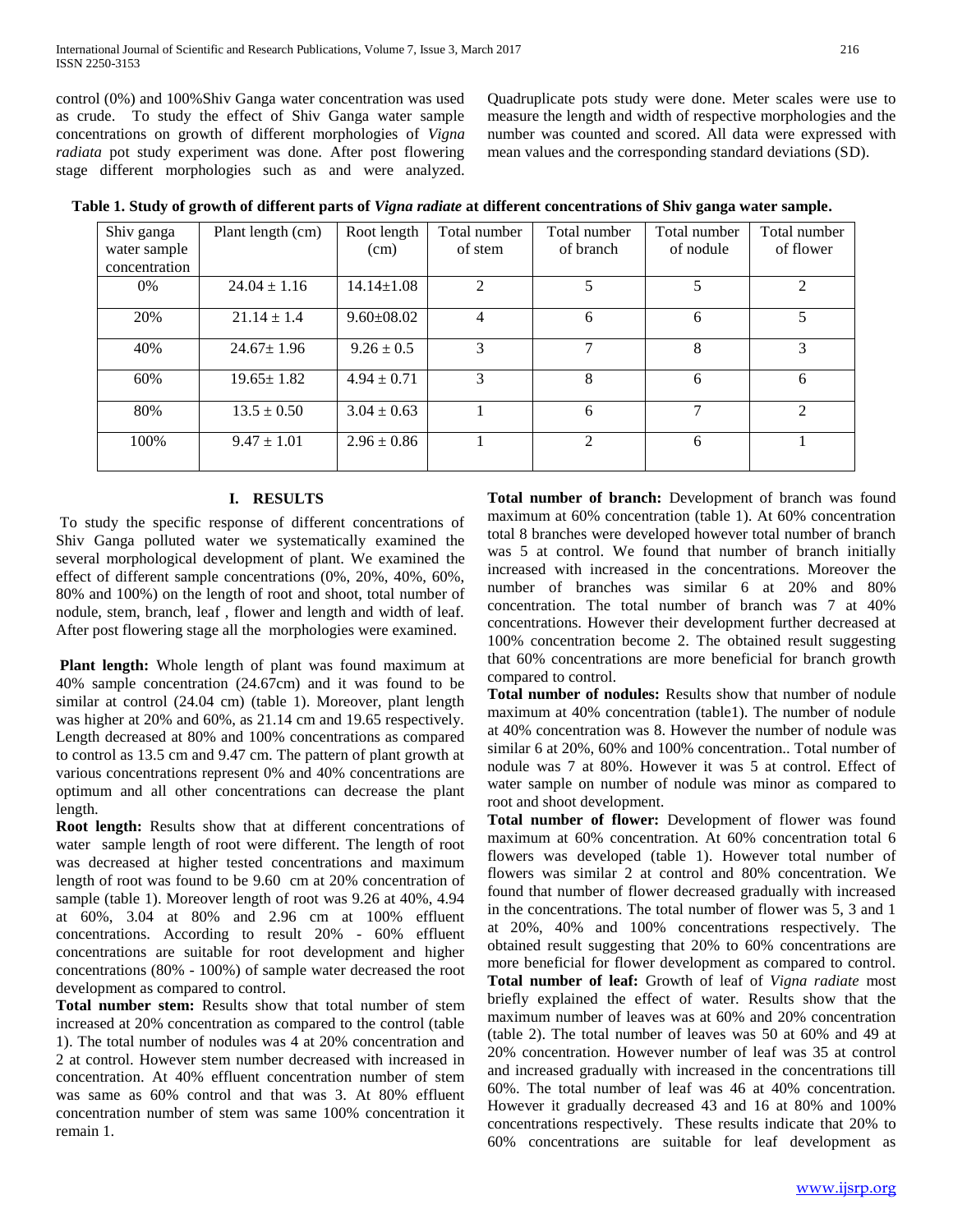control (0%) and 100%Shiv Ganga water concentration was used as crude. To study the effect of Shiv Ganga water sample concentrations on growth of different morphologies of *Vigna radiata* pot study experiment was done. After post flowering stage different morphologies such as and were analyzed.

Quadruplicate pots study were done. Meter scales were use to measure the length and width of respective morphologies and the number was counted and scored. All data were expressed with mean values and the corresponding standard deviations (SD).

| Shiv ganga<br>water sample | Plant length (cm) | Root length<br>(cm) | Total number<br>of stem | Total number<br>of branch | Total number<br>of nodule | Total number<br>of flower |
|----------------------------|-------------------|---------------------|-------------------------|---------------------------|---------------------------|---------------------------|
| concentration              |                   |                     |                         |                           |                           |                           |
| 0%                         | $24.04 \pm 1.16$  | $14.14 \pm 1.08$    | 2                       | 5                         | 5                         | 2                         |
| 20%                        | $21.14 \pm 1.4$   | $9.60 \pm 08.02$    | $\overline{4}$          | 6                         | 6                         | 5                         |
| 40%                        | $24.67 \pm 1.96$  | $9.26 \pm 0.5$      | 3                       | 7                         | 8                         | 3                         |
| 60%                        | $19.65 \pm 1.82$  | $4.94 \pm 0.71$     | 3                       | 8                         | 6                         | 6                         |
| 80%                        | $13.5 \pm 0.50$   | $3.04 \pm 0.63$     |                         | 6                         | 7                         | 2                         |
| 100%                       | $9.47 \pm 1.01$   | $2.96 \pm 0.86$     |                         | $\overline{2}$            | 6                         |                           |

**Table 1. Study of growth of different parts of** *Vigna radiate* **at different concentrations of Shiv ganga water sample.**

# **I. RESULTS**

To study the specific response of different concentrations of Shiv Ganga polluted water we systematically examined the several morphological development of plant. We examined the effect of different sample concentrations (0%, 20%, 40%, 60%, 80% and 100%) on the length of root and shoot, total number of nodule, stem, branch, leaf , flower and length and width of leaf. After post flowering stage all the morphologies were examined.

**Plant length:** Whole length of plant was found maximum at 40% sample concentration (24.67cm) and it was found to be similar at control (24.04 cm) (table 1). Moreover, plant length was higher at 20% and 60%, as 21.14 cm and 19.65 respectively. Length decreased at 80% and 100% concentrations as compared to control as 13.5 cm and 9.47 cm. The pattern of plant growth at various concentrations represent 0% and 40% concentrations are optimum and all other concentrations can decrease the plant length.

**Root length:** Results show that at different concentrations of water sample length of root were different. The length of root was decreased at higher tested concentrations and maximum length of root was found to be 9.60 cm at 20% concentration of sample (table 1). Moreover length of root was 9.26 at 40%, 4.94 at 60%, 3.04 at 80% and 2.96 cm at 100% effluent concentrations. According to result 20% - 60% effluent concentrations are suitable for root development and higher concentrations (80% - 100%) of sample water decreased the root development as compared to control.

**Total number stem:** Results show that total number of stem increased at 20% concentration as compared to the control (table 1). The total number of nodules was 4 at 20% concentration and 2 at control. However stem number decreased with increased in concentration. At 40% effluent concentration number of stem was same as 60% control and that was 3. At 80% effluent concentration number of stem was same 100% concentration it remain 1.

**Total number of branch:** Development of branch was found maximum at 60% concentration (table 1). At 60% concentration total 8 branches were developed however total number of branch was 5 at control. We found that number of branch initially increased with increased in the concentrations. Moreover the number of branches was similar 6 at 20% and 80% concentration. The total number of branch was 7 at 40% concentrations. However their development further decreased at 100% concentration become 2. The obtained result suggesting that 60% concentrations are more beneficial for branch growth compared to control.

**Total number of nodules:** Results show that number of nodule maximum at 40% concentration (table1). The number of nodule at 40% concentration was 8. However the number of nodule was similar 6 at 20%, 60% and 100% concentration.. Total number of nodule was 7 at 80%. However it was 5 at control. Effect of water sample on number of nodule was minor as compared to root and shoot development.

**Total number of flower:** Development of flower was found maximum at 60% concentration. At 60% concentration total 6 flowers was developed (table 1). However total number of flowers was similar 2 at control and 80% concentration. We found that number of flower decreased gradually with increased in the concentrations. The total number of flower was 5, 3 and 1 at 20%, 40% and 100% concentrations respectively. The obtained result suggesting that 20% to 60% concentrations are more beneficial for flower development as compared to control. **Total number of leaf:** Growth of leaf of *Vigna radiate* most briefly explained the effect of water. Results show that the maximum number of leaves was at 60% and 20% concentration (table 2). The total number of leaves was 50 at 60% and 49 at 20% concentration. However number of leaf was 35 at control and increased gradually with increased in the concentrations till 60%. The total number of leaf was 46 at 40% concentration. However it gradually decreased 43 and 16 at 80% and 100% concentrations respectively. These results indicate that 20% to 60% concentrations are suitable for leaf development as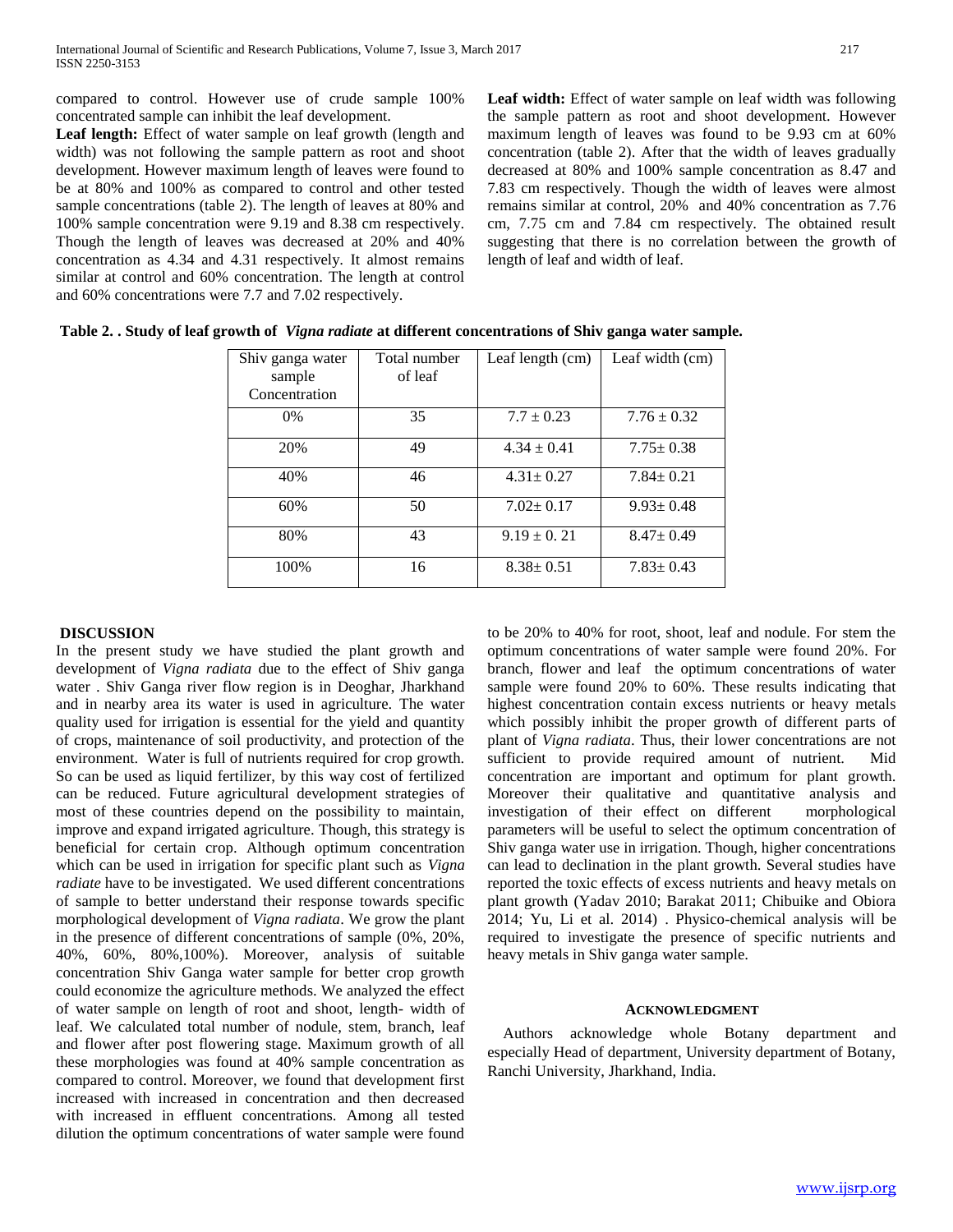compared to control. However use of crude sample 100% concentrated sample can inhibit the leaf development.

Leaf length: Effect of water sample on leaf growth (length and width) was not following the sample pattern as root and shoot development. However maximum length of leaves were found to be at 80% and 100% as compared to control and other tested sample concentrations (table 2). The length of leaves at 80% and 100% sample concentration were 9.19 and 8.38 cm respectively. Though the length of leaves was decreased at 20% and 40% concentration as 4.34 and 4.31 respectively. It almost remains similar at control and 60% concentration. The length at control and 60% concentrations were 7.7 and 7.02 respectively.

Leaf width: Effect of water sample on leaf width was following the sample pattern as root and shoot development. However maximum length of leaves was found to be 9.93 cm at 60% concentration (table 2). After that the width of leaves gradually decreased at 80% and 100% sample concentration as 8.47 and 7.83 cm respectively. Though the width of leaves were almost remains similar at control, 20% and 40% concentration as 7.76 cm, 7.75 cm and 7.84 cm respectively. The obtained result suggesting that there is no correlation between the growth of length of leaf and width of leaf.

| Shiv ganga water<br>sample<br>Concentration | Total number<br>of leaf | Leaf length $(cm)$ | Leaf width (cm) |
|---------------------------------------------|-------------------------|--------------------|-----------------|
| $0\%$                                       | 35                      | $7.7 \pm 0.23$     | $7.76 \pm 0.32$ |
| 20%                                         | 49                      | $4.34 \pm 0.41$    | $7.75 \pm 0.38$ |
| 40%                                         | 46                      | $4.31 \pm 0.27$    | $7.84 \pm 0.21$ |
| 60%                                         | 50                      | $7.02 \pm 0.17$    | $9.93 \pm 0.48$ |
| 80%                                         | 43                      | $9.19 \pm 0.21$    | $8.47 \pm 0.49$ |
| 100%                                        | 16                      | $8.38 \pm 0.51$    | $7.83 \pm 0.43$ |

**Table 2. . Study of leaf growth of** *Vigna radiate* **at different concentrations of Shiv ganga water sample.** 

# **DISCUSSION**

In the present study we have studied the plant growth and development of *Vigna radiata* due to the effect of Shiv ganga water . Shiv Ganga river flow region is in Deoghar, Jharkhand and in nearby area its water is used in agriculture. The water quality used for irrigation is essential for the yield and quantity of crops, maintenance of soil productivity, and protection of the environment. Water is full of nutrients required for crop growth. So can be used as liquid fertilizer, by this way cost of fertilized can be reduced. Future agricultural development strategies of most of these countries depend on the possibility to maintain, improve and expand irrigated agriculture. Though, this strategy is beneficial for certain crop. Although optimum concentration which can be used in irrigation for specific plant such as *Vigna radiate* have to be investigated. We used different concentrations of sample to better understand their response towards specific morphological development of *Vigna radiata*. We grow the plant in the presence of different concentrations of sample (0%, 20%, 40%, 60%, 80%,100%). Moreover, analysis of suitable concentration Shiv Ganga water sample for better crop growth could economize the agriculture methods. We analyzed the effect of water sample on length of root and shoot, length- width of leaf. We calculated total number of nodule, stem, branch, leaf and flower after post flowering stage. Maximum growth of all these morphologies was found at 40% sample concentration as compared to control. Moreover, we found that development first increased with increased in concentration and then decreased with increased in effluent concentrations. Among all tested dilution the optimum concentrations of water sample were found

to be 20% to 40% for root, shoot, leaf and nodule. For stem the optimum concentrations of water sample were found 20%. For branch, flower and leaf the optimum concentrations of water sample were found 20% to 60%. These results indicating that highest concentration contain excess nutrients or heavy metals which possibly inhibit the proper growth of different parts of plant of *Vigna radiata*. Thus, their lower concentrations are not sufficient to provide required amount of nutrient. Mid concentration are important and optimum for plant growth. Moreover their qualitative and quantitative analysis and investigation of their effect on different morphological parameters will be useful to select the optimum concentration of Shiv ganga water use in irrigation. Though, higher concentrations can lead to declination in the plant growth. Several studies have reported the toxic effects of excess nutrients and heavy metals on plant growth (Yadav 2010; Barakat 2011; Chibuike and Obiora 2014; Yu, Li et al. 2014) . Physico-chemical analysis will be required to investigate the presence of specific nutrients and heavy metals in Shiv ganga water sample.

## **ACKNOWLEDGMENT**

Authors acknowledge whole Botany department and especially Head of department, University department of Botany, Ranchi University, Jharkhand, India.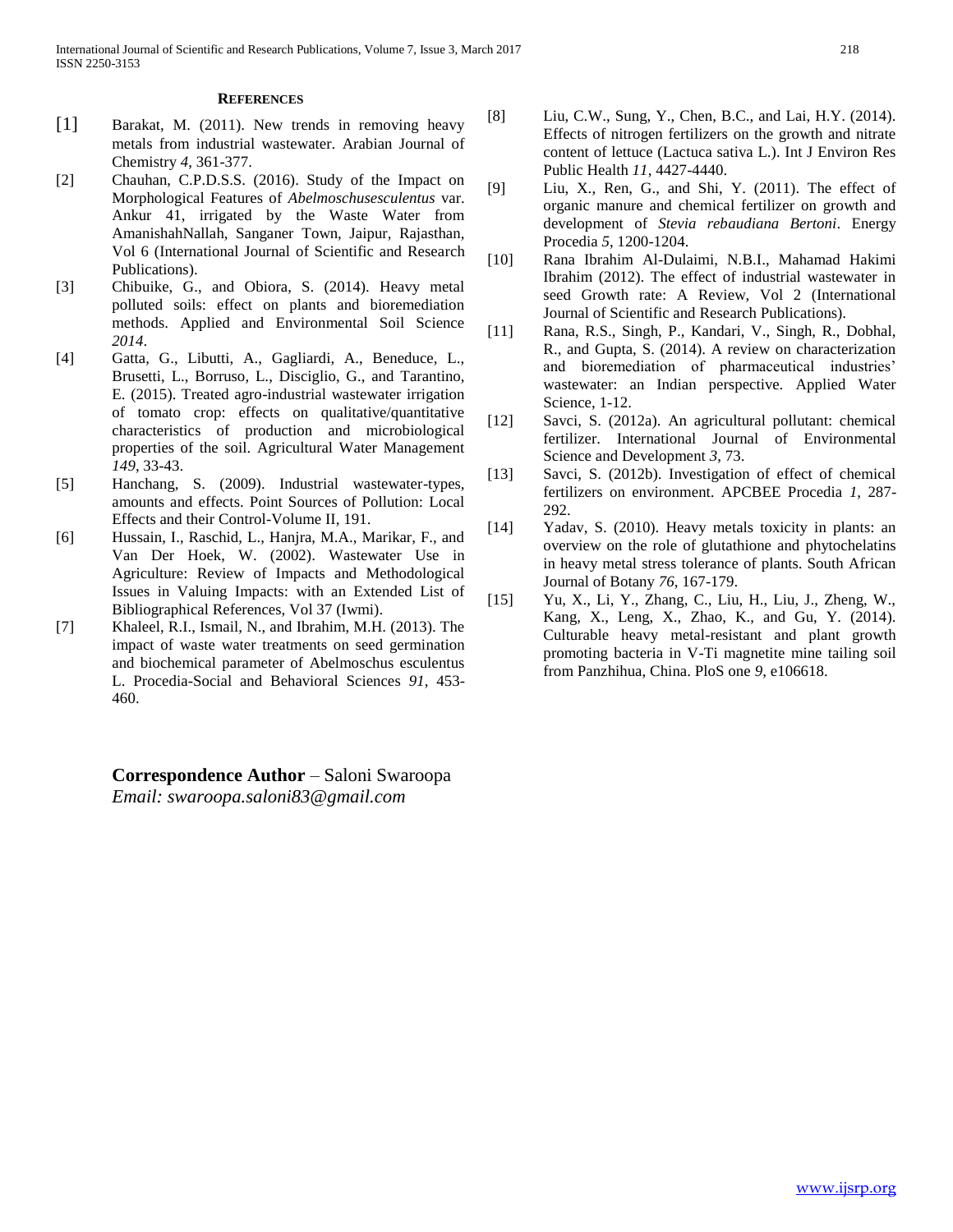### **REFERENCES**

- [1] Barakat, M. (2011). New trends in removing heavy metals from industrial wastewater. Arabian Journal of Chemistry *4*, 361-377.
- [2] Chauhan, C.P.D.S.S. (2016). Study of the Impact on Morphological Features of *Abelmoschusesculentus* var. Ankur 41, irrigated by the Waste Water from AmanishahNallah, Sanganer Town, Jaipur, Rajasthan, Vol 6 (International Journal of Scientific and Research Publications).
- [3] Chibuike, G., and Obiora, S. (2014). Heavy metal polluted soils: effect on plants and bioremediation methods. Applied and Environmental Soil Science *2014*.
- [4] Gatta, G., Libutti, A., Gagliardi, A., Beneduce, L., Brusetti, L., Borruso, L., Disciglio, G., and Tarantino, E. (2015). Treated agro-industrial wastewater irrigation of tomato crop: effects on qualitative/quantitative characteristics of production and microbiological properties of the soil. Agricultural Water Management *149*, 33-43.
- [5] Hanchang, S. (2009). Industrial wastewater-types, amounts and effects. Point Sources of Pollution: Local Effects and their Control-Volume II, 191.
- [6] Hussain, I., Raschid, L., Hanjra, M.A., Marikar, F., and Van Der Hoek, W. (2002). Wastewater Use in Agriculture: Review of Impacts and Methodological Issues in Valuing Impacts: with an Extended List of Bibliographical References, Vol 37 (Iwmi).
- [7] Khaleel, R.I., Ismail, N., and Ibrahim, M.H. (2013). The impact of waste water treatments on seed germination and biochemical parameter of Abelmoschus esculentus L. Procedia-Social and Behavioral Sciences *91*, 453- 460.

**Correspondence Author** – Saloni Swaroopa *Email: swaroopa.saloni83@gmail.com*

- [8] Liu, C.W., Sung, Y., Chen, B.C., and Lai, H.Y. (2014). Effects of nitrogen fertilizers on the growth and nitrate content of lettuce (Lactuca sativa L.). Int J Environ Res Public Health *11*, 4427-4440.
- [9] Liu, X., Ren, G., and Shi, Y. (2011). The effect of organic manure and chemical fertilizer on growth and development of *Stevia rebaudiana Bertoni*. Energy Procedia *5*, 1200-1204.
- [10] Rana Ibrahim Al-Dulaimi, N.B.I., Mahamad Hakimi Ibrahim (2012). The effect of industrial wastewater in seed Growth rate: A Review, Vol 2 (International Journal of Scientific and Research Publications).
- [11] Rana, R.S., Singh, P., Kandari, V., Singh, R., Dobhal, R., and Gupta, S. (2014). A review on characterization and bioremediation of pharmaceutical industries' wastewater: an Indian perspective. Applied Water Science, 1-12.
- [12] Savci, S. (2012a). An agricultural pollutant: chemical fertilizer. International Journal of Environmental Science and Development *3*, 73.
- [13] Savci, S. (2012b). Investigation of effect of chemical fertilizers on environment. APCBEE Procedia *1*, 287- 292.
- [14] Yadav, S. (2010). Heavy metals toxicity in plants: an overview on the role of glutathione and phytochelatins in heavy metal stress tolerance of plants. South African Journal of Botany *76*, 167-179.
- [15] Yu, X., Li, Y., Zhang, C., Liu, H., Liu, J., Zheng, W., Kang, X., Leng, X., Zhao, K., and Gu, Y. (2014). Culturable heavy metal-resistant and plant growth promoting bacteria in V-Ti magnetite mine tailing soil from Panzhihua, China. PloS one *9*, e106618.